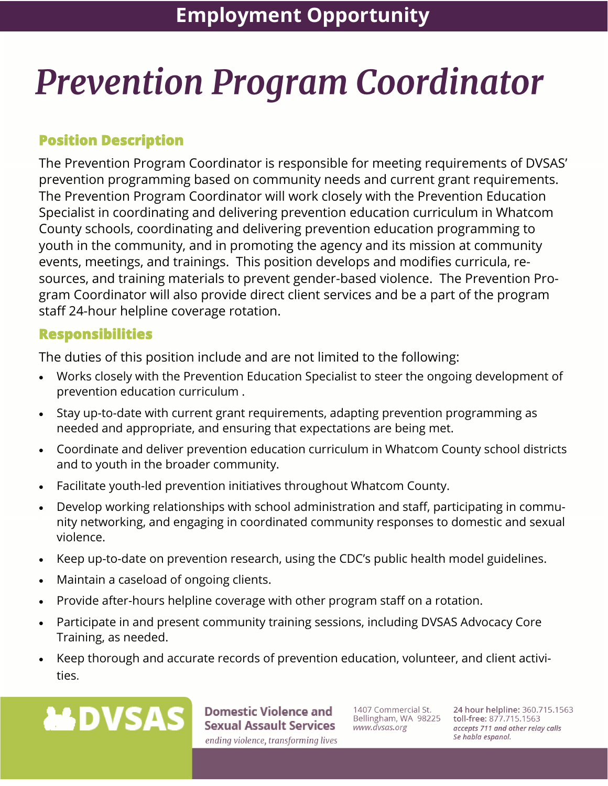# **Prevention Program Coordinator**

## **Position Description**

The Prevention Program Coordinator is responsible for meeting requirements of DVSAS' prevention programming based on community needs and current grant requirements. The Prevention Program Coordinator will work closely with the Prevention Education Specialist in coordinating and delivering prevention education curriculum in Whatcom County schools, coordinating and delivering prevention education programming to youth in the community, and in promoting the agency and its mission at community events, meetings, and trainings. This position develops and modifies curricula, resources, and training materials to prevent gender-based violence. The Prevention Program Coordinator will also provide direct client services and be a part of the program staff 24-hour helpline coverage rotation.

### **Responsibilities**

The duties of this position include and are not limited to the following:

- Works closely with the Prevention Education Specialist to steer the ongoing development of prevention education curriculum .
- Stay up-to-date with current grant requirements, adapting prevention programming as needed and appropriate, and ensuring that expectations are being met.
- Coordinate and deliver prevention education curriculum in Whatcom County school districts and to youth in the broader community.
- Facilitate youth-led prevention initiatives throughout Whatcom County.
- Develop working relationships with school administration and staff, participating in community networking, and engaging in coordinated community responses to domestic and sexual violence.
- Keep up-to-date on prevention research, using the CDC's public health model guidelines.
- Maintain a caseload of ongoing clients.
- Provide after-hours helpline coverage with other program staff on a rotation.
- Participate in and present community training sessions, including DVSAS Advocacy Core Training, as needed.
- Keep thorough and accurate records of prevention education, volunteer, and client activities.



**Domestic Violence and Sexual Assault Services** ending violence, transforming lives

1407 Commercial St. Bellingham, WA 98225 www.dvsas.org

24 hour helpline: 360.715.1563 toll-free: 877.715.1563 accepts 711 and other relay calls Se habla espanol.